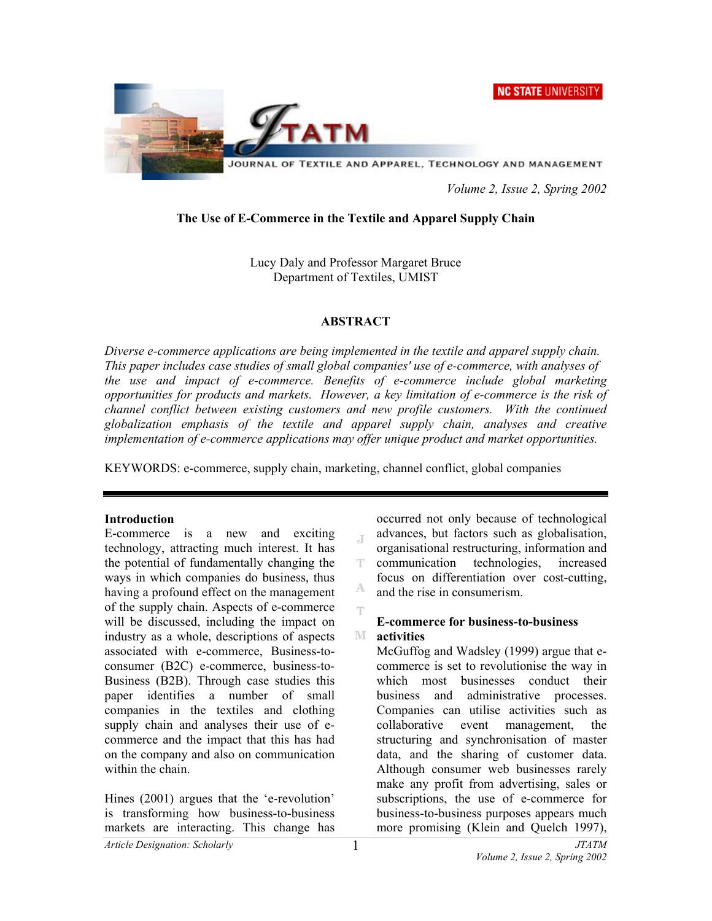



 *Volume 2, Issue 2, Spring 2002* 

# **The Use of E-Commerce in the Textile and Apparel Supply Chain**

Lucy Daly and Professor Margaret Bruce Department of Textiles, UMIST

### **ABSTRACT**

*Diverse e-commerce applications are being implemented in the textile and apparel supply chain. This paper includes case studies of small global companies' use of e-commerce, with analyses of the use and impact of e-commerce. Benefits of e-commerce include global marketing opportunities for products and markets. However, a key limitation of e-commerce is the risk of channel conflict between existing customers and new profile customers. With the continued globalization emphasis of the textile and apparel supply chain, analyses and creative implementation of e-commerce applications may offer unique product and market opportunities.* 

Ŧ

KEYWORDS: e-commerce, supply chain, marketing, channel conflict, global companies

#### **Introduction**

E-commerce is a new and exciting technology, attracting much interest. It has the potential of fundamentally changing the ways in which companies do business, thus having a profound effect on the management of the supply chain. Aspects of e-commerce will be discussed, including the impact on industry as a whole, descriptions of aspects associated with e-commerce, Business-toconsumer (B2C) e-commerce, business-to-Business (B2B). Through case studies this paper identifies a number of small companies in the textiles and clothing supply chain and analyses their use of ecommerce and the impact that this has had on the company and also on communication within the chain.

Hines (2001) argues that the 'e-revolution' is transforming how business-to-business markets are interacting. This change has

occurred not only because of technological advances, but factors such as globalisation,  $\mathbb T$ organisational restructuring, information and communication technologies, increased T. focus on differentiation over cost-cutting, A and the rise in consumerism.

#### **E-commerce for business-to-business**  M **activities**

McGuffog and Wadsley (1999) argue that ecommerce is set to revolutionise the way in which most businesses conduct their business and administrative processes. Companies can utilise activities such as collaborative event management, the structuring and synchronisation of master data, and the sharing of customer data. Although consumer web businesses rarely make any profit from advertising, sales or subscriptions, the use of e-commerce for business-to-business purposes appears much more promising (Klein and Quelch 1997),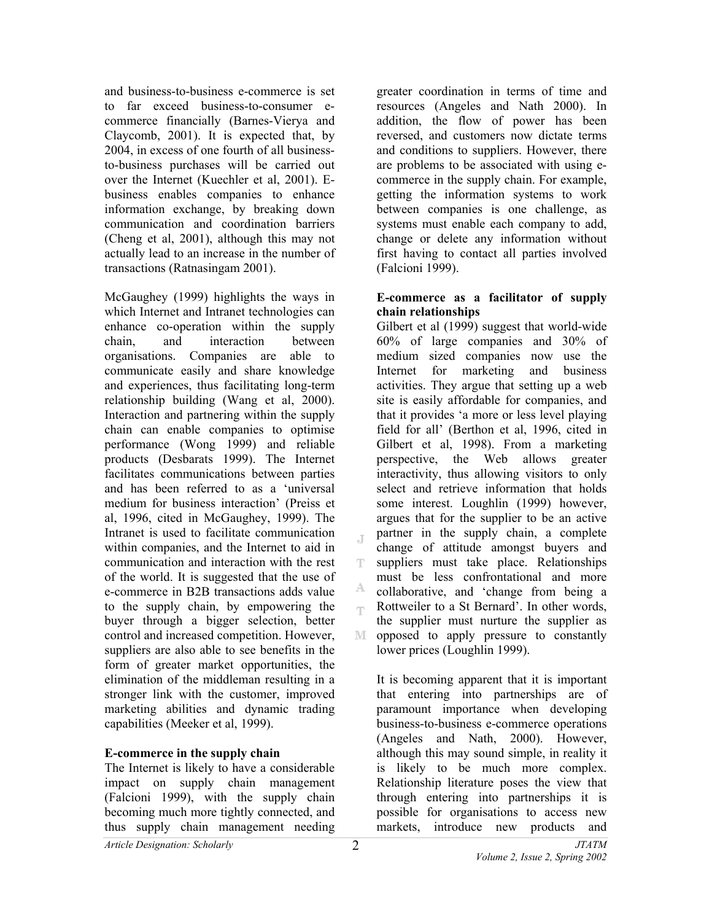and business-to-business e-commerce is set to far exceed business-to-consumer ecommerce financially (Barnes-Vierya and Claycomb, 2001). It is expected that, by 2004, in excess of one fourth of all businessto-business purchases will be carried out over the Internet (Kuechler et al, 2001). Ebusiness enables companies to enhance information exchange, by breaking down communication and coordination barriers (Cheng et al, 2001), although this may not actually lead to an increase in the number of transactions (Ratnasingam 2001).

McGaughey (1999) highlights the ways in which Internet and Intranet technologies can enhance co-operation within the supply chain, and interaction between organisations. Companies are able to communicate easily and share knowledge and experiences, thus facilitating long-term relationship building (Wang et al, 2000). Interaction and partnering within the supply chain can enable companies to optimise performance (Wong 1999) and reliable products (Desbarats 1999). The Internet facilitates communications between parties and has been referred to as a 'universal medium for business interaction' (Preiss et al, 1996, cited in McGaughey, 1999). The Intranet is used to facilitate communication within companies, and the Internet to aid in communication and interaction with the rest of the world. It is suggested that the use of e-commerce in B2B transactions adds value to the supply chain, by empowering the buyer through a bigger selection, better control and increased competition. However, suppliers are also able to see benefits in the form of greater market opportunities, the elimination of the middleman resulting in a stronger link with the customer, improved marketing abilities and dynamic trading capabilities (Meeker et al, 1999).

#### **E-commerce in the supply chain**

The Internet is likely to have a considerable impact on supply chain management (Falcioni 1999), with the supply chain becoming much more tightly connected, and thus supply chain management needing

greater coordination in terms of time and resources (Angeles and Nath 2000). In addition, the flow of power has been reversed, and customers now dictate terms and conditions to suppliers. However, there are problems to be associated with using ecommerce in the supply chain. For example, getting the information systems to work between companies is one challenge, as systems must enable each company to add, change or delete any information without first having to contact all parties involved (Falcioni 1999).

#### **E-commerce as a facilitator of supply chain relationships**

Gilbert et al (1999) suggest that world-wide 60% of large companies and 30% of medium sized companies now use the Internet for marketing and business activities. They argue that setting up a web site is easily affordable for companies, and that it provides 'a more or less level playing field for all' (Berthon et al, 1996, cited in Gilbert et al, 1998). From a marketing perspective, the Web allows greater interactivity, thus allowing visitors to only select and retrieve information that holds some interest. Loughlin (1999) however, argues that for the supplier to be an active partner in the supply chain, a complete change of attitude amongst buyers and suppliers must take place. Relationships must be less confrontational and more collaborative, and 'change from being a Rottweiler to a St Bernard'. In other words, the supplier must nurture the supplier as opposed to apply pressure to constantly lower prices (Loughlin 1999).

It is becoming apparent that it is important that entering into partnerships are of paramount importance when developing business-to-business e-commerce operations (Angeles and Nath, 2000). However, although this may sound simple, in reality it is likely to be much more complex. Relationship literature poses the view that through entering into partnerships it is possible for organisations to access new markets, introduce new products and

J.

T

Α. rp.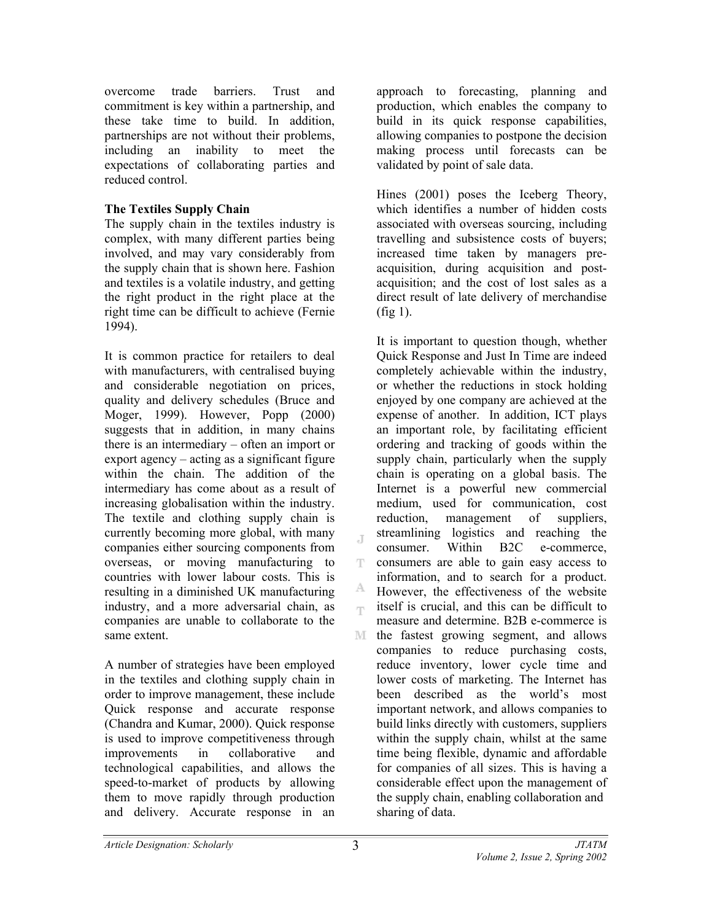overcome trade barriers. Trust and commitment is key within a partnership, and these take time to build. In addition, partnerships are not without their problems, including an inability to meet the expectations of collaborating parties and reduced control.

# **The Textiles Supply Chain**

The supply chain in the textiles industry is complex, with many different parties being involved, and may vary considerably from the supply chain that is shown here. Fashion and textiles is a volatile industry, and getting the right product in the right place at the right time can be difficult to achieve (Fernie 1994).

It is common practice for retailers to deal with manufacturers, with centralised buying and considerable negotiation on prices, quality and delivery schedules (Bruce and Moger, 1999). However, Popp (2000) suggests that in addition, in many chains there is an intermediary – often an import or export agency – acting as a significant figure within the chain. The addition of the intermediary has come about as a result of increasing globalisation within the industry. The textile and clothing supply chain is currently becoming more global, with many companies either sourcing components from overseas, or moving manufacturing to countries with lower labour costs. This is resulting in a diminished UK manufacturing industry, and a more adversarial chain, as companies are unable to collaborate to the same extent.

A number of strategies have been employed in the textiles and clothing supply chain in order to improve management, these include Quick response and accurate response (Chandra and Kumar, 2000). Quick response is used to improve competitiveness through improvements in collaborative and technological capabilities, and allows the speed-to-market of products by allowing them to move rapidly through production and delivery. Accurate response in an

approach to forecasting, planning and production, which enables the company to build in its quick response capabilities, allowing companies to postpone the decision making process until forecasts can be validated by point of sale data.

Hines (2001) poses the Iceberg Theory, which identifies a number of hidden costs associated with overseas sourcing, including travelling and subsistence costs of buyers; increased time taken by managers preacquisition, during acquisition and postacquisition; and the cost of lost sales as a direct result of late delivery of merchandise (fig 1).

It is important to question though, whether Quick Response and Just In Time are indeed completely achievable within the industry, or whether the reductions in stock holding enjoyed by one company are achieved at the expense of another. In addition, ICT plays an important role, by facilitating efficient ordering and tracking of goods within the supply chain, particularly when the supply chain is operating on a global basis. The Internet is a powerful new commercial medium, used for communication, cost reduction, management of suppliers, streamlining logistics and reaching the consumer. Within B2C e-commerce, consumers are able to gain easy access to information, and to search for a product. А. However, the effectiveness of the website itself is crucial, and this can be difficult to ep. measure and determine. B2B e-commerce is M. the fastest growing segment, and allows companies to reduce purchasing costs, reduce inventory, lower cycle time and lower costs of marketing. The Internet has been described as the world's most important network, and allows companies to build links directly with customers, suppliers within the supply chain, whilst at the same time being flexible, dynamic and affordable for companies of all sizes. This is having a considerable effect upon the management of the supply chain, enabling collaboration and sharing of data.

J

Ŧ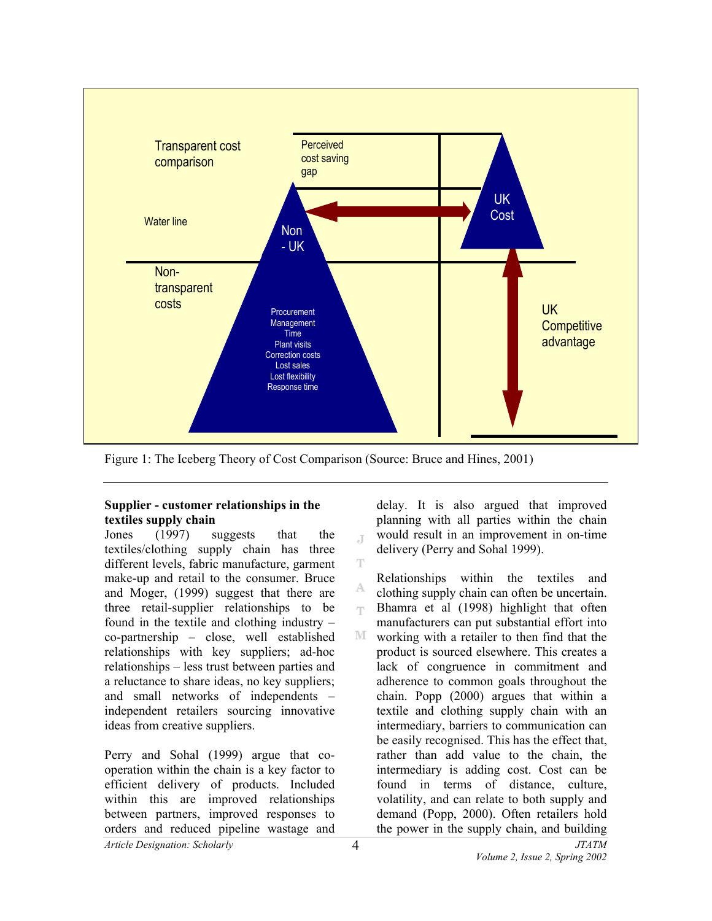

Ŧ

A

Figure 1: The Iceberg Theory of Cost Comparison (Source: Bruce and Hines, 2001)

# **Supplier - customer relationships in the textiles supply chain**

Jones (1997) suggests that the textiles/clothing supply chain has three different levels, fabric manufacture, garment make-up and retail to the consumer. Bruce and Moger, (1999) suggest that there are three retail-supplier relationships to be found in the textile and clothing industry – co-partnership – close, well established relationships with key suppliers; ad-hoc relationships – less trust between parties and a reluctance to share ideas, no key suppliers; and small networks of independents – independent retailers sourcing innovative ideas from creative suppliers.

Perry and Sohal (1999) argue that cooperation within the chain is a key factor to efficient delivery of products. Included within this are improved relationships between partners, improved responses to orders and reduced pipeline wastage and

delay. It is also argued that improved planning with all parties within the chain would result in an improvement in on-time J. delivery (Perry and Sohal 1999).

Relationships within the textiles and clothing supply chain can often be uncertain. Bhamra et al (1998) highlight that often m. manufacturers can put substantial effort into  $\mathbb{M}$ working with a retailer to then find that the product is sourced elsewhere. This creates a lack of congruence in commitment and adherence to common goals throughout the chain. Popp (2000) argues that within a textile and clothing supply chain with an intermediary, barriers to communication can be easily recognised. This has the effect that, rather than add value to the chain, the intermediary is adding cost. Cost can be found in terms of distance, culture, volatility, and can relate to both supply and demand (Popp, 2000). Often retailers hold the power in the supply chain, and building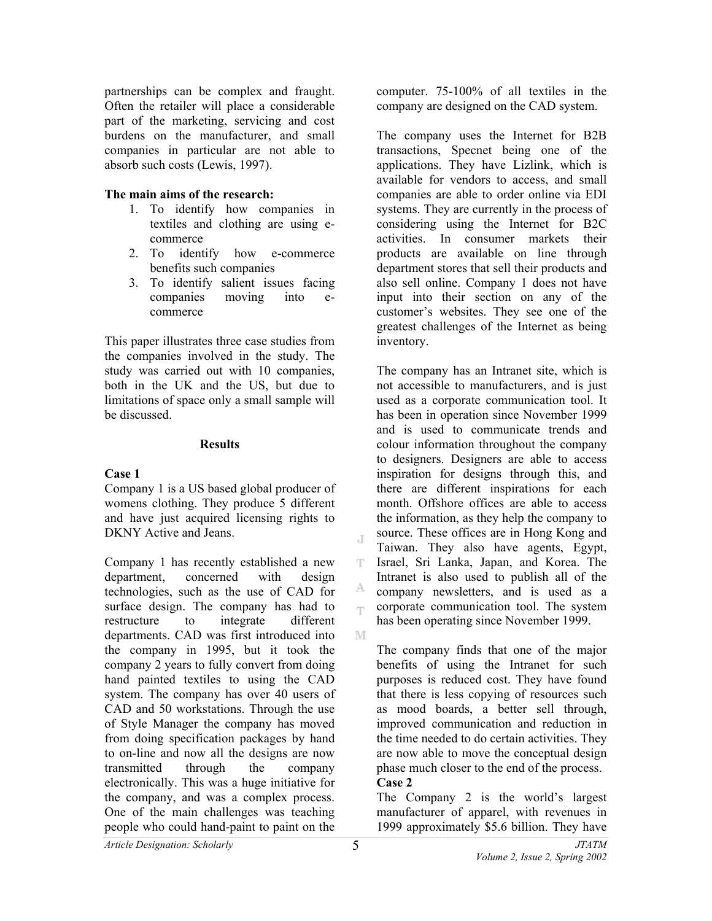partnerships can be complex and fraught. Often the retailer will place a considerable part of the marketing, servicing and cost burdens on the manufacturer, and small companies in particular are not able to absorb such costs (Lewis, 1997).

### **The main aims of the research:**

- 1. To identify how companies in textiles and clothing are using ecommerce
- 2. To identify how e-commerce benefits such companies
- 3. To identify salient issues facing companies moving into ecommerce

This paper illustrates three case studies from the companies involved in the study. The study was carried out with 10 companies, both in the UK and the US, but due to limitations of space only a small sample will be discussed.

### **Results**

# **Case 1**

Company 1 is a US based global producer of womens clothing. They produce 5 different and have just acquired licensing rights to DKNY Active and Jeans.

Company 1 has recently established a new department, concerned with design technologies, such as the use of CAD for surface design. The company has had to restructure to integrate different departments. CAD was first introduced into the company in 1995, but it took the company 2 years to fully convert from doing hand painted textiles to using the CAD system. The company has over 40 users of CAD and 50 workstations. Through the use of Style Manager the company has moved from doing specification packages by hand to on-line and now all the designs are now transmitted through the company electronically. This was a huge initiative for the company, and was a complex process. One of the main challenges was teaching people who could hand-paint to paint on the

computer. 75-100% of all textiles in the company are designed on the CAD system.

The company uses the Internet for B2B transactions, Specnet being one of the applications. They have Lizlink, which is available for vendors to access, and small companies are able to order online via EDI systems. They are currently in the process of considering using the Internet for B2C activities. In consumer markets their products are available on line through department stores that sell their products and also sell online. Company 1 does not have input into their section on any of the customer's websites. They see one of the greatest challenges of the Internet as being inventory.

The company has an Intranet site, which is not accessible to manufacturers, and is just used as a corporate communication tool. It has been in operation since November 1999 and is used to communicate trends and colour information throughout the company to designers. Designers are able to access inspiration for designs through this, and there are different inspirations for each month. Offshore offices are able to access the information, as they help the company to source. These offices are in Hong Kong and Taiwan. They also have agents, Egypt, Israel, Sri Lanka, Japan, and Korea. The Intranet is also used to publish all of the company newsletters, and is used as a corporate communication tool. The system has been operating since November 1999.

The company finds that one of the major benefits of using the Intranet for such purposes is reduced cost. They have found that there is less copying of resources such as mood boards, a better sell through, improved communication and reduction in the time needed to do certain activities. They are now able to move the conceptual design phase much closer to the end of the process. **Case 2** 

The Company 2 is the world's largest manufacturer of apparel, with revenues in 1999 approximately \$5.6 billion. They have

J

T.

А. T.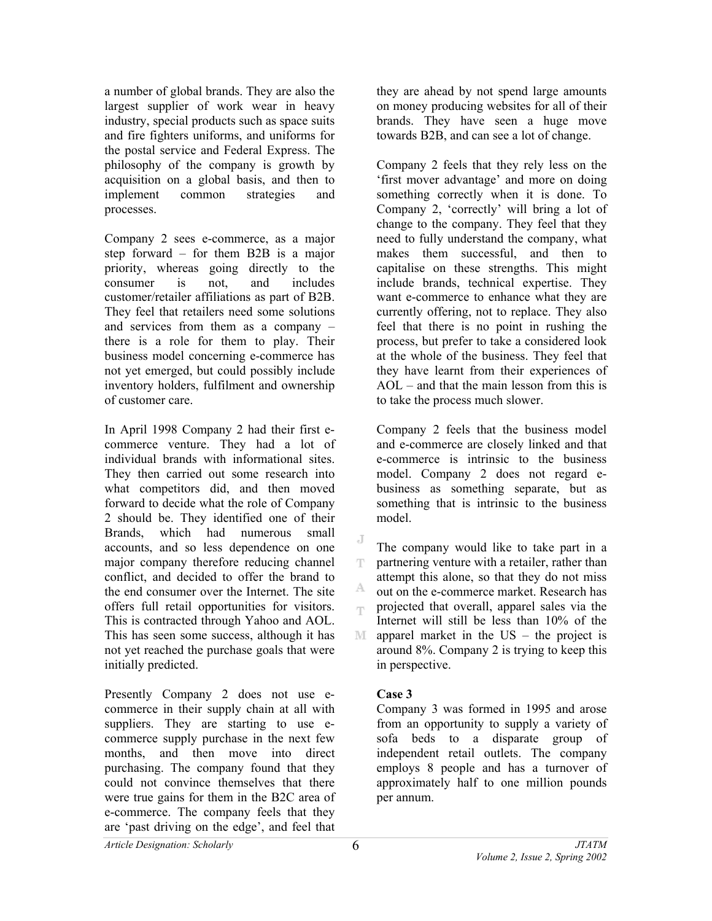a number of global brands. They are also the largest supplier of work wear in heavy industry, special products such as space suits and fire fighters uniforms, and uniforms for the postal service and Federal Express. The philosophy of the company is growth by acquisition on a global basis, and then to implement common strategies and processes.

Company 2 sees e-commerce, as a major step forward – for them B2B is a major priority, whereas going directly to the consumer is not, and includes customer/retailer affiliations as part of B2B. They feel that retailers need some solutions and services from them as a company – there is a role for them to play. Their business model concerning e-commerce has not yet emerged, but could possibly include inventory holders, fulfilment and ownership of customer care.

In April 1998 Company 2 had their first ecommerce venture. They had a lot of individual brands with informational sites. They then carried out some research into what competitors did, and then moved forward to decide what the role of Company 2 should be. They identified one of their Brands, which had numerous small accounts, and so less dependence on one major company therefore reducing channel conflict, and decided to offer the brand to the end consumer over the Internet. The site offers full retail opportunities for visitors. This is contracted through Yahoo and AOL. This has seen some success, although it has not yet reached the purchase goals that were initially predicted.

Presently Company 2 does not use ecommerce in their supply chain at all with suppliers. They are starting to use ecommerce supply purchase in the next few months, and then move into direct purchasing. The company found that they could not convince themselves that there were true gains for them in the B2C area of e-commerce. The company feels that they are 'past driving on the edge', and feel that

they are ahead by not spend large amounts on money producing websites for all of their brands. They have seen a huge move towards B2B, and can see a lot of change.

Company 2 feels that they rely less on the 'first mover advantage' and more on doing something correctly when it is done. To Company 2, 'correctly' will bring a lot of change to the company. They feel that they need to fully understand the company, what makes them successful, and then to capitalise on these strengths. This might include brands, technical expertise. They want e-commerce to enhance what they are currently offering, not to replace. They also feel that there is no point in rushing the process, but prefer to take a considered look at the whole of the business. They feel that they have learnt from their experiences of AOL – and that the main lesson from this is to take the process much slower.

Company 2 feels that the business model and e-commerce are closely linked and that e-commerce is intrinsic to the business model. Company 2 does not regard ebusiness as something separate, but as something that is intrinsic to the business model.

The company would like to take part in a partnering venture with a retailer, rather than T attempt this alone, so that they do not miss A. out on the e-commerce market. Research has projected that overall, apparel sales via the rp. Internet will still be less than 10% of the M apparel market in the US – the project is around 8%. Company 2 is trying to keep this in perspective.

# **Case 3**

J

Company 3 was formed in 1995 and arose from an opportunity to supply a variety of sofa beds to a disparate group of independent retail outlets. The company employs 8 people and has a turnover of approximately half to one million pounds per annum.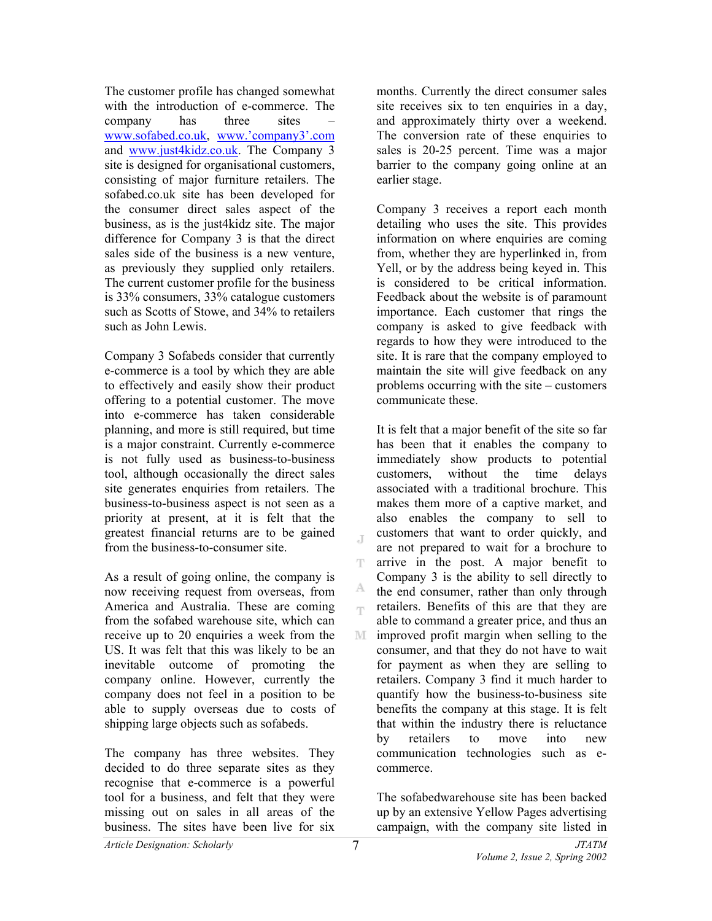The customer profile has changed somewhat with the introduction of e-commerce. The company has three sites – www.sofabed.co.uk, www.'company3'.com and www.just4kidz.co.uk. The Company 3 site is designed for organisational customers, consisting of major furniture retailers. The sofabed.co.uk site has been developed for the consumer direct sales aspect of the business, as is the just4kidz site. The major difference for Company 3 is that the direct sales side of the business is a new venture, as previously they supplied only retailers. The current customer profile for the business is 33% consumers, 33% catalogue customers such as Scotts of Stowe, and 34% to retailers such as John Lewis.

Company 3 Sofabeds consider that currently e-commerce is a tool by which they are able to effectively and easily show their product offering to a potential customer. The move into e-commerce has taken considerable planning, and more is still required, but time is a major constraint. Currently e-commerce is not fully used as business-to-business tool, although occasionally the direct sales site generates enquiries from retailers. The business-to-business aspect is not seen as a priority at present, at it is felt that the greatest financial returns are to be gained from the business-to-consumer site.

As a result of going online, the company is now receiving request from overseas, from America and Australia. These are coming from the sofabed warehouse site, which can receive up to 20 enquiries a week from the US. It was felt that this was likely to be an inevitable outcome of promoting the company online. However, currently the company does not feel in a position to be able to supply overseas due to costs of shipping large objects such as sofabeds.

The company has three websites. They decided to do three separate sites as they recognise that e-commerce is a powerful tool for a business, and felt that they were missing out on sales in all areas of the business. The sites have been live for six

months. Currently the direct consumer sales site receives six to ten enquiries in a day, and approximately thirty over a weekend. The conversion rate of these enquiries to sales is 20-25 percent. Time was a major barrier to the company going online at an earlier stage.

Company 3 receives a report each month detailing who uses the site. This provides information on where enquiries are coming from, whether they are hyperlinked in, from Yell, or by the address being keyed in. This is considered to be critical information. Feedback about the website is of paramount importance. Each customer that rings the company is asked to give feedback with regards to how they were introduced to the site. It is rare that the company employed to maintain the site will give feedback on any problems occurring with the site – customers communicate these.

It is felt that a major benefit of the site so far has been that it enables the company to immediately show products to potential customers, without the time delays associated with a traditional brochure. This makes them more of a captive market, and also enables the company to sell to customers that want to order quickly, and are not prepared to wait for a brochure to T arrive in the post. A major benefit to Company 3 is the ability to sell directly to А. the end consumer, rather than only through retailers. Benefits of this are that they are rp. able to command a greater price, and thus an improved profit margin when selling to the consumer, and that they do not have to wait for payment as when they are selling to retailers. Company 3 find it much harder to quantify how the business-to-business site benefits the company at this stage. It is felt that within the industry there is reluctance by retailers to move into new communication technologies such as ecommerce.

The sofabedwarehouse site has been backed up by an extensive Yellow Pages advertising campaign, with the company site listed in

 $\overline{\mathbb{F}}$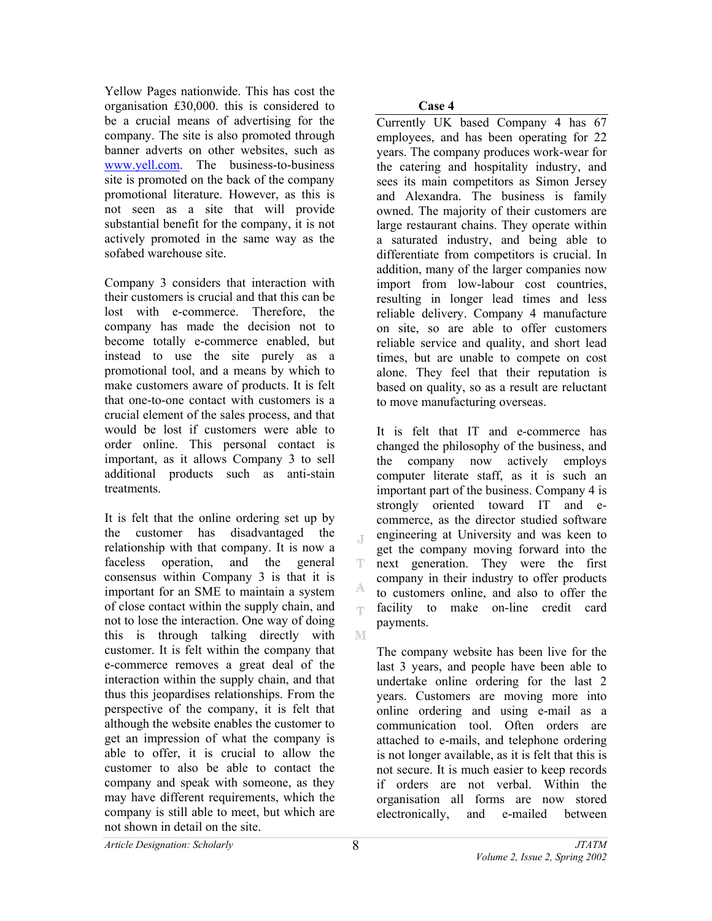Yellow Pages nationwide. This has cost the organisation £30,000. this is considered to be a crucial means of advertising for the company. The site is also promoted through banner adverts on other websites, such as www.yell.com. The business-to-business site is promoted on the back of the company promotional literature. However, as this is not seen as a site that will provide substantial benefit for the company, it is not actively promoted in the same way as the sofabed warehouse site.

Company 3 considers that interaction with their customers is crucial and that this can be lost with e-commerce. Therefore, the company has made the decision not to become totally e-commerce enabled, but instead to use the site purely as a promotional tool, and a means by which to make customers aware of products. It is felt that one-to-one contact with customers is a crucial element of the sales process, and that would be lost if customers were able to order online. This personal contact is important, as it allows Company 3 to sell additional products such as anti-stain treatments.

It is felt that the online ordering set up by the customer has disadvantaged the relationship with that company. It is now a faceless operation, and the general consensus within Company 3 is that it is important for an SME to maintain a system of close contact within the supply chain, and not to lose the interaction. One way of doing this is through talking directly with customer. It is felt within the company that e-commerce removes a great deal of the interaction within the supply chain, and that thus this jeopardises relationships. From the perspective of the company, it is felt that although the website enables the customer to get an impression of what the company is able to offer, it is crucial to allow the customer to also be able to contact the company and speak with someone, as they may have different requirements, which the company is still able to meet, but which are not shown in detail on the site.

**Case 4** 

Currently UK based Company 4 has 67 employees, and has been operating for 22 years. The company produces work-wear for the catering and hospitality industry, and sees its main competitors as Simon Jersey and Alexandra. The business is family owned. The majority of their customers are large restaurant chains. They operate within a saturated industry, and being able to differentiate from competitors is crucial. In addition, many of the larger companies now import from low-labour cost countries, resulting in longer lead times and less reliable delivery. Company 4 manufacture on site, so are able to offer customers reliable service and quality, and short lead times, but are unable to compete on cost alone. They feel that their reputation is based on quality, so as a result are reluctant to move manufacturing overseas.

It is felt that IT and e-commerce has changed the philosophy of the business, and the company now actively employs computer literate staff, as it is such an important part of the business. Company 4 is strongly oriented toward IT and ecommerce, as the director studied software engineering at University and was keen to get the company moving forward into the next generation. They were the first company in their industry to offer products to customers online, and also to offer the facility to make on-line credit card np. payments.

The company website has been live for the last 3 years, and people have been able to undertake online ordering for the last 2 years. Customers are moving more into online ordering and using e-mail as a communication tool. Often orders are attached to e-mails, and telephone ordering is not longer available, as it is felt that this is not secure. It is much easier to keep records if orders are not verbal. Within the organisation all forms are now stored electronically, and e-mailed between

*Article Designation: Scholarly JTATM* 

 $\mathbb T$ 

T

A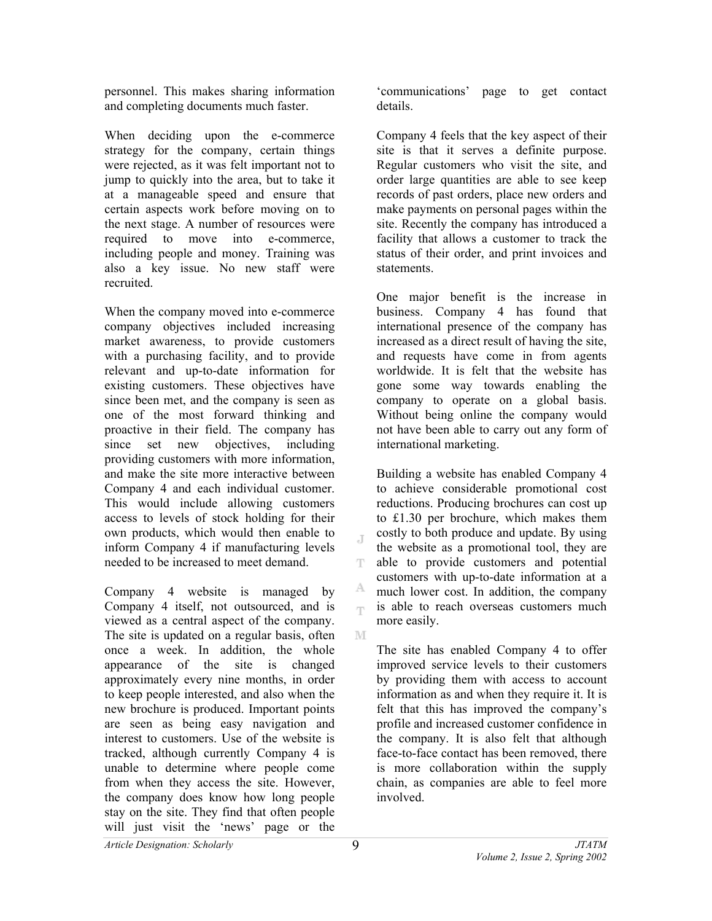personnel. This makes sharing information and completing documents much faster.

When deciding upon the e-commerce strategy for the company, certain things were rejected, as it was felt important not to jump to quickly into the area, but to take it at a manageable speed and ensure that certain aspects work before moving on to the next stage. A number of resources were required to move into e-commerce, including people and money. Training was also a key issue. No new staff were recruited.

When the company moved into e-commerce company objectives included increasing market awareness, to provide customers with a purchasing facility, and to provide relevant and up-to-date information for existing customers. These objectives have since been met, and the company is seen as one of the most forward thinking and proactive in their field. The company has since set new objectives, including providing customers with more information, and make the site more interactive between Company 4 and each individual customer. This would include allowing customers access to levels of stock holding for their own products, which would then enable to inform Company 4 if manufacturing levels needed to be increased to meet demand.

Company 4 website is managed by Company 4 itself, not outsourced, and is viewed as a central aspect of the company. The site is updated on a regular basis, often once a week. In addition, the whole appearance of the site is changed approximately every nine months, in order to keep people interested, and also when the new brochure is produced. Important points are seen as being easy navigation and interest to customers. Use of the website is tracked, although currently Company 4 is unable to determine where people come from when they access the site. However, the company does know how long people stay on the site. They find that often people will just visit the 'news' page or the

'communications' page to get contact details.

Company 4 feels that the key aspect of their site is that it serves a definite purpose. Regular customers who visit the site, and order large quantities are able to see keep records of past orders, place new orders and make payments on personal pages within the site. Recently the company has introduced a facility that allows a customer to track the status of their order, and print invoices and statements.

One major benefit is the increase in business. Company 4 has found that international presence of the company has increased as a direct result of having the site, and requests have come in from agents worldwide. It is felt that the website has gone some way towards enabling the company to operate on a global basis. Without being online the company would not have been able to carry out any form of international marketing.

Building a website has enabled Company 4 to achieve considerable promotional cost reductions. Producing brochures can cost up to £1.30 per brochure, which makes them costly to both produce and update. By using the website as a promotional tool, they are T. able to provide customers and potential customers with up-to-date information at a A. much lower cost. In addition, the company is able to reach overseas customers much m. more easily. M

The site has enabled Company 4 to offer improved service levels to their customers by providing them with access to account information as and when they require it. It is felt that this has improved the company's profile and increased customer confidence in the company. It is also felt that although face-to-face contact has been removed, there is more collaboration within the supply chain, as companies are able to feel more involved.

J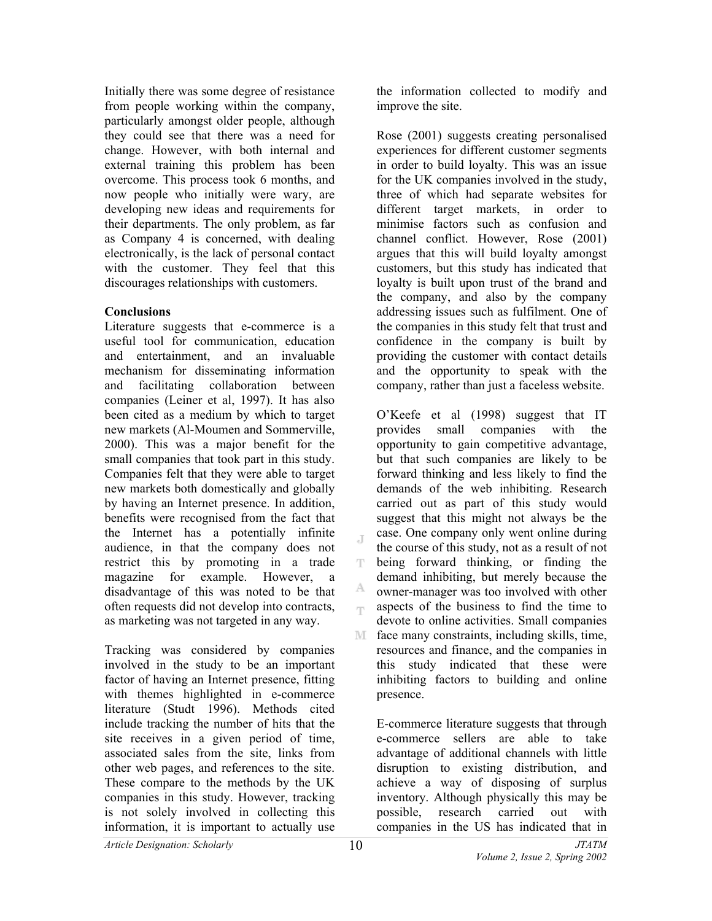Initially there was some degree of resistance from people working within the company, particularly amongst older people, although they could see that there was a need for change. However, with both internal and external training this problem has been overcome. This process took 6 months, and now people who initially were wary, are developing new ideas and requirements for their departments. The only problem, as far as Company 4 is concerned, with dealing electronically, is the lack of personal contact with the customer. They feel that this discourages relationships with customers.

# **Conclusions**

Literature suggests that e-commerce is a useful tool for communication, education and entertainment, and an invaluable mechanism for disseminating information and facilitating collaboration between companies (Leiner et al, 1997). It has also been cited as a medium by which to target new markets (Al-Moumen and Sommerville, 2000). This was a major benefit for the small companies that took part in this study. Companies felt that they were able to target new markets both domestically and globally by having an Internet presence. In addition, benefits were recognised from the fact that the Internet has a potentially infinite audience, in that the company does not restrict this by promoting in a trade magazine for example. However, a disadvantage of this was noted to be that often requests did not develop into contracts, as marketing was not targeted in any way.

Tracking was considered by companies involved in the study to be an important factor of having an Internet presence, fitting with themes highlighted in e-commerce literature (Studt 1996). Methods cited include tracking the number of hits that the site receives in a given period of time, associated sales from the site, links from other web pages, and references to the site. These compare to the methods by the UK companies in this study. However, tracking is not solely involved in collecting this information, it is important to actually use

the information collected to modify and improve the site.

Rose (2001) suggests creating personalised experiences for different customer segments in order to build loyalty. This was an issue for the UK companies involved in the study, three of which had separate websites for different target markets, in order to minimise factors such as confusion and channel conflict. However, Rose (2001) argues that this will build loyalty amongst customers, but this study has indicated that loyalty is built upon trust of the brand and the company, and also by the company addressing issues such as fulfilment. One of the companies in this study felt that trust and confidence in the company is built by providing the customer with contact details and the opportunity to speak with the company, rather than just a faceless website.

O'Keefe et al (1998) suggest that IT provides small companies with the opportunity to gain competitive advantage, but that such companies are likely to be forward thinking and less likely to find the demands of the web inhibiting. Research carried out as part of this study would suggest that this might not always be the case. One company only went online during the course of this study, not as a result of not being forward thinking, or finding the т. demand inhibiting, but merely because the Α. owner-manager was too involved with other aspects of the business to find the time to eys. devote to online activities. Small companies M. face many constraints, including skills, time, resources and finance, and the companies in this study indicated that these were inhibiting factors to building and online presence.

E-commerce literature suggests that through e-commerce sellers are able to take advantage of additional channels with little disruption to existing distribution, and achieve a way of disposing of surplus inventory. Although physically this may be possible, research carried out with companies in the US has indicated that in

J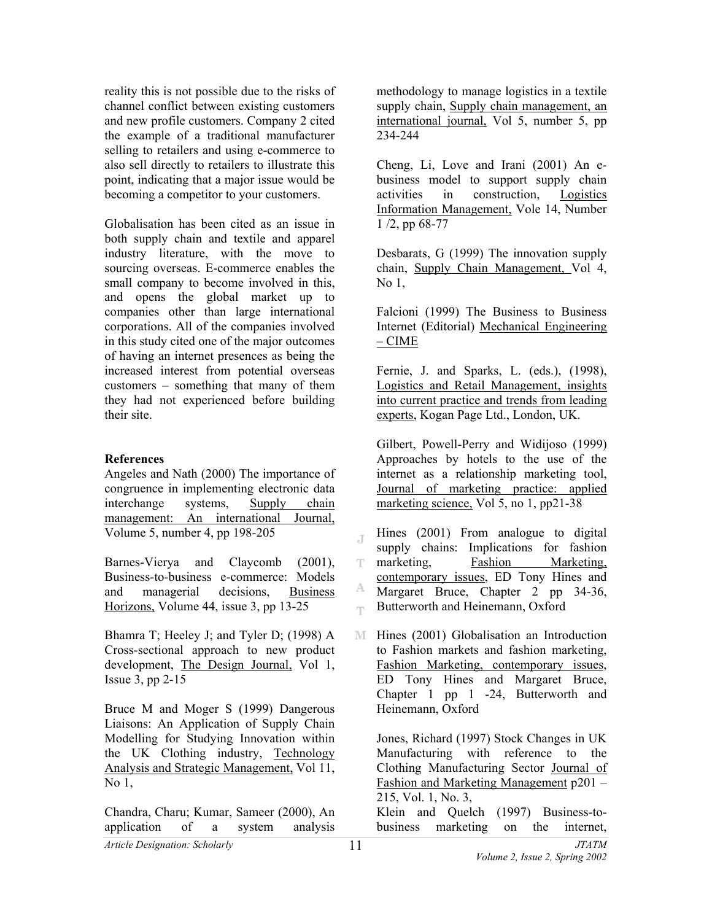reality this is not possible due to the risks of channel conflict between existing customers and new profile customers. Company 2 cited the example of a traditional manufacturer selling to retailers and using e-commerce to also sell directly to retailers to illustrate this point, indicating that a major issue would be becoming a competitor to your customers.

Globalisation has been cited as an issue in both supply chain and textile and apparel industry literature, with the move to sourcing overseas. E-commerce enables the small company to become involved in this, and opens the global market up to companies other than large international corporations. All of the companies involved in this study cited one of the major outcomes of having an internet presences as being the increased interest from potential overseas customers – something that many of them they had not experienced before building their site.

#### **References**

Angeles and Nath (2000) The importance of congruence in implementing electronic data interchange systems, Supply chain management: An international Journal, Volume 5, number 4, pp 198-205

Barnes-Vierya and Claycomb (2001), Business-to-business e-commerce: Models and managerial decisions, Business Horizons, Volume 44, issue 3, pp 13-25

Bhamra T; Heeley J; and Tyler D; (1998) A Cross-sectional approach to new product development, The Design Journal, Vol 1, Issue 3, pp 2-15

Bruce M and Moger S (1999) Dangerous Liaisons: An Application of Supply Chain Modelling for Studying Innovation within the UK Clothing industry, Technology Analysis and Strategic Management, Vol 11, No 1,

Chandra, Charu; Kumar, Sameer (2000), An application of a system analysis

methodology to manage logistics in a textile supply chain, Supply chain management, an international journal, Vol 5, number 5, pp 234-244

Cheng, Li, Love and Irani (2001) An ebusiness model to support supply chain activities in construction, Logistics Information Management, Vole 14, Number 1 /2, pp 68-77

Desbarats, G (1999) The innovation supply chain, Supply Chain Management, Vol 4, No 1,

Falcioni (1999) The Business to Business Internet (Editorial) Mechanical Engineering – CIME

Fernie, J. and Sparks, L. (eds.), (1998), Logistics and Retail Management, insights into current practice and trends from leading experts, Kogan Page Ltd., London, UK.

Gilbert, Powell-Perry and Widijoso (1999) Approaches by hotels to the use of the internet as a relationship marketing tool, Journal of marketing practice: applied marketing science, Vol 5, no 1, pp21-38

- Hines (2001) From analogue to digital J supply chains: Implications for fashion marketing, Fashion Marketing, т. contemporary issues, ED Tony Hines and А. Margaret Bruce, Chapter 2 pp 34-36, Butterworth and Heinemann, Oxford T.
- M. Hines (2001) Globalisation an Introduction to Fashion markets and fashion marketing, Fashion Marketing, contemporary issues, ED Tony Hines and Margaret Bruce, Chapter 1 pp 1 -24, Butterworth and Heinemann, Oxford

Jones, Richard (1997) Stock Changes in UK Manufacturing with reference to the Clothing Manufacturing Sector Journal of Fashion and Marketing Management p201 – 215, Vol. 1, No. 3,

Klein and Quelch (1997) Business-tobusiness marketing on the internet,